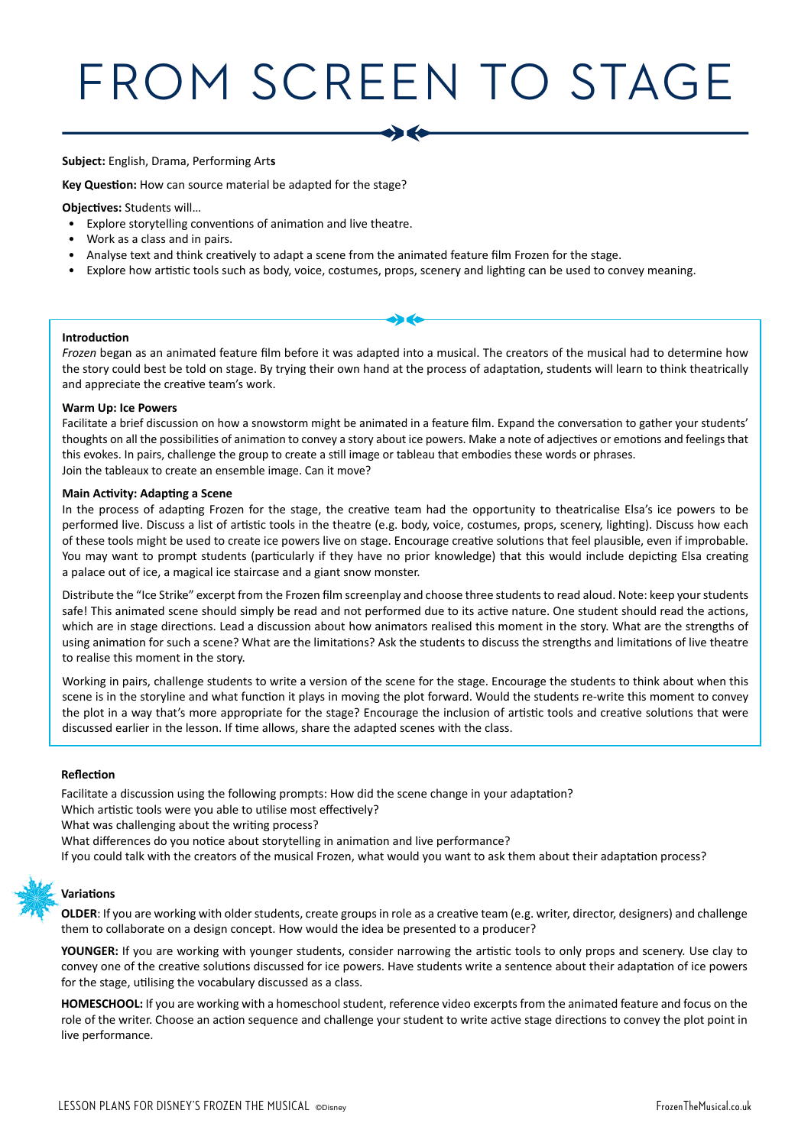# FROM SCREEN TO STAGE

#### **Subject:** English, Drama, Performing Art**s**

**Key Question:** How can source material be adapted for the stage?

**Objectives:** Students will…

- Explore storytelling conventions of animation and live theatre.
- Work as a class and in pairs.
- Analyse text and think creatively to adapt a scene from the animated feature film Frozen for the stage.
- Explore how artistic tools such as body, voice, costumes, props, scenery and lighting can be used to convey meaning.

#### **Introduction**

*Frozen* began as an animated feature film before it was adapted into a musical. The creators of the musical had to determine how the story could best be told on stage. By trying their own hand at the process of adaptation, students will learn to think theatrically and appreciate the creative team's work.

#### **Warm Up: Ice Powers**

Facilitate a brief discussion on how a snowstorm might be animated in a feature film. Expand the conversation to gather your students' thoughts on all the possibilities of animation to convey a story about ice powers. Make a note of adjectives or emotions and feelings that this evokes. In pairs, challenge the group to create a still image or tableau that embodies these words or phrases. Join the tableaux to create an ensemble image. Can it move?

#### **Main Activity: Adapting a Scene**

In the process of adapting Frozen for the stage, the creative team had the opportunity to theatricalise Elsa's ice powers to be performed live. Discuss a list of artistic tools in the theatre (e.g. body, voice, costumes, props, scenery, lighting). Discuss how each of these tools might be used to create ice powers live on stage. Encourage creative solutions that feel plausible, even if improbable. You may want to prompt students (particularly if they have no prior knowledge) that this would include depicting Elsa creating a palace out of ice, a magical ice staircase and a giant snow monster.

Distribute the "Ice Strike" excerpt from the Frozen film screenplay and choose three students to read aloud. Note: keep your students safe! This animated scene should simply be read and not performed due to its active nature. One student should read the actions, which are in stage directions. Lead a discussion about how animators realised this moment in the story. What are the strengths of using animation for such a scene? What are the limitations? Ask the students to discuss the strengths and limitations of live theatre to realise this moment in the story.

Working in pairs, challenge students to write a version of the scene for the stage. Encourage the students to think about when this scene is in the storyline and what function it plays in moving the plot forward. Would the students re-write this moment to convey the plot in a way that's more appropriate for the stage? Encourage the inclusion of artistic tools and creative solutions that were discussed earlier in the lesson. If time allows, share the adapted scenes with the class.

#### **Reflection**

Facilitate a discussion using the following prompts: How did the scene change in your adaptation?

Which artistic tools were you able to utilise most effectively?

What was challenging about the writing process?

What differences do you notice about storytelling in animation and live performance?

If you could talk with the creators of the musical Frozen, what would you want to ask them about their adaptation process?

#### **Variations**

**OLDER**: If you are working with older students, create groups in role as a creative team (e.g. writer, director, designers) and challenge them to collaborate on a design concept. How would the idea be presented to a producer?

**YOUNGER:** If you are working with younger students, consider narrowing the artistic tools to only props and scenery. Use clay to convey one of the creative solutions discussed for ice powers. Have students write a sentence about their adaptation of ice powers for the stage, utilising the vocabulary discussed as a class.

**HOMESCHOOL:** If you are working with a homeschool student, reference video excerpts from the animated feature and focus on the role of the writer. Choose an action sequence and challenge your student to write active stage directions to convey the plot point in live performance.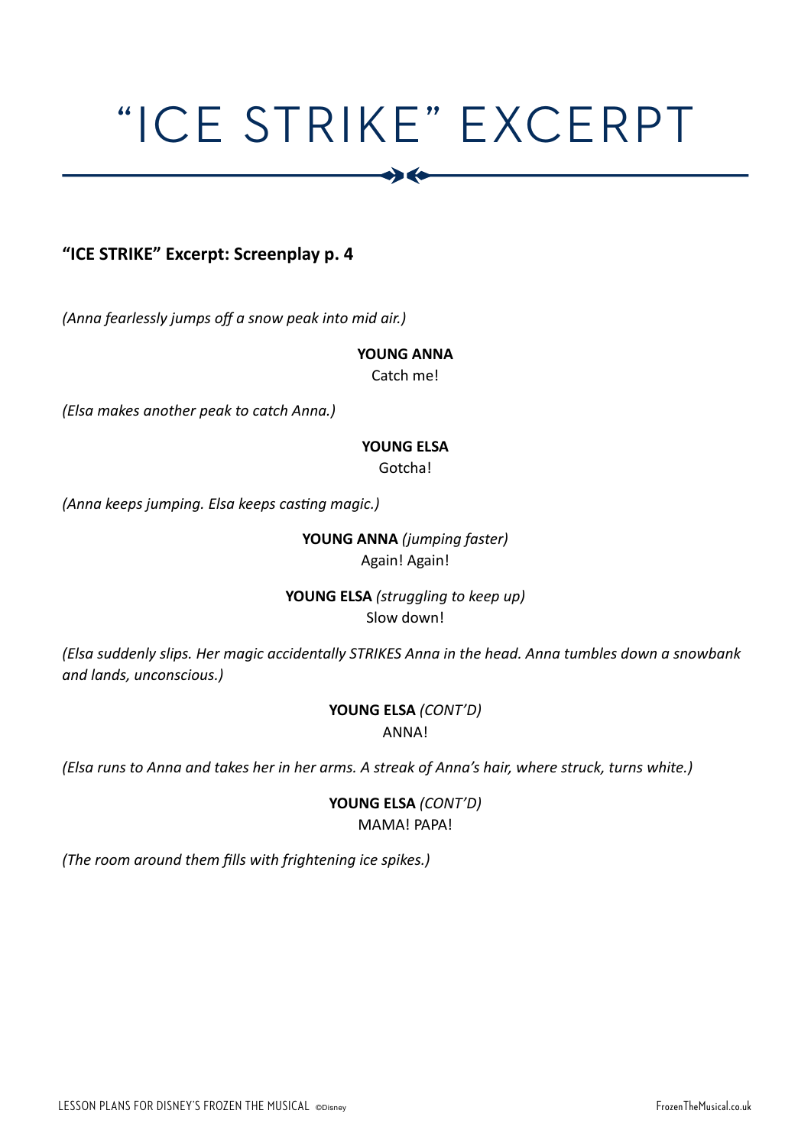## "ICE STRIKE" EXCERPT

 $\bullet$ 

### **"ICE STRIKE" Excerpt: Screenplay p. 4**

*(Anna fearlessly jumps off a snow peak into mid air.)* 

#### **YOUNG ANNA**

Catch me!

*(Elsa makes another peak to catch Anna.)* 

#### **YOUNG ELSA**

Gotcha!

*(Anna keeps jumping. Elsa keeps casting magic.)*

#### **YOUNG ANNA** *(jumping faster)*  Again! Again!

#### **YOUNG ELSA** *(struggling to keep up)* Slow down!

*(Elsa suddenly slips. Her magic accidentally STRIKES Anna in the head. Anna tumbles down a snowbank and lands, unconscious.)*

#### **YOUNG ELSA** *(CONT'D)* ANNA!

*(Elsa runs to Anna and takes her in her arms. A streak of Anna's hair, where struck, turns white.)*

#### **YOUNG ELSA** *(CONT'D)* MAMA! PAPA!

*(The room around them fills with frightening ice spikes.)*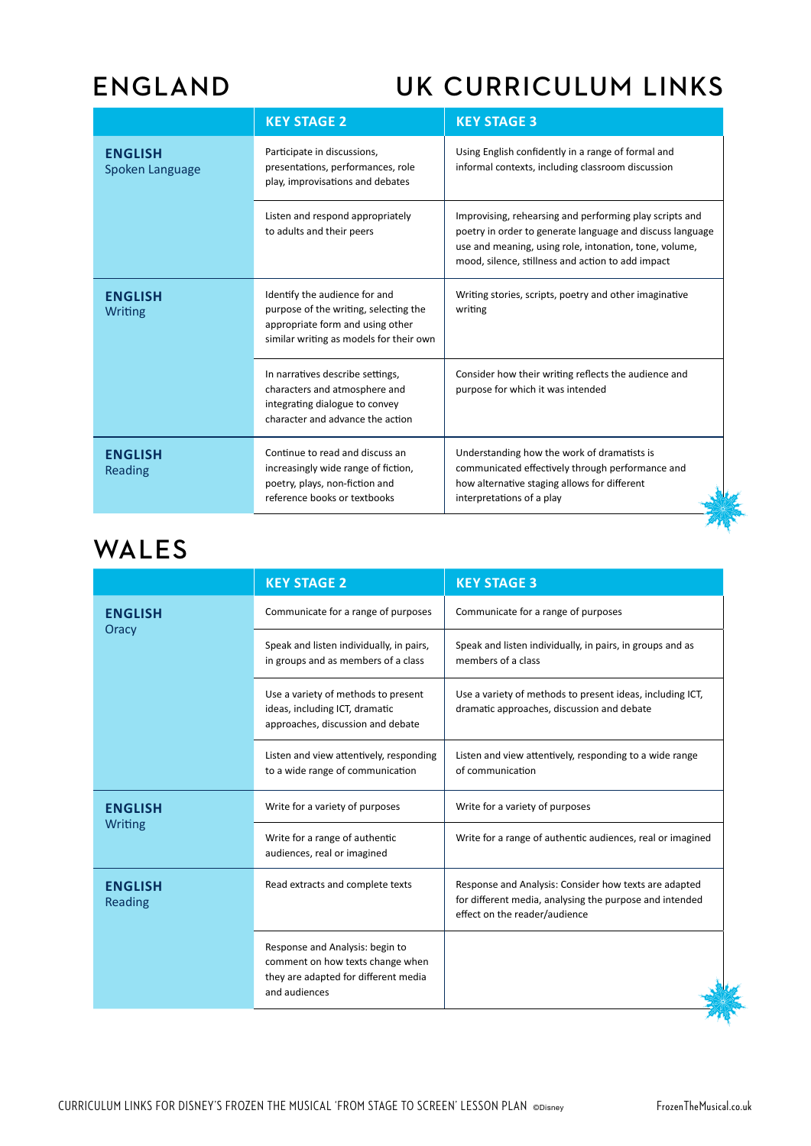## **ENGLAND UK CURRICULUM LINKS**

| <b>KEY STAGE 2</b>                                                                                                                                    | <b>KEY STAGE 3</b>                                                                                                                                                                                                                  |  |
|-------------------------------------------------------------------------------------------------------------------------------------------------------|-------------------------------------------------------------------------------------------------------------------------------------------------------------------------------------------------------------------------------------|--|
| Participate in discussions,<br>presentations, performances, role<br>play, improvisations and debates                                                  | Using English confidently in a range of formal and<br>informal contexts, including classroom discussion                                                                                                                             |  |
| Listen and respond appropriately<br>to adults and their peers                                                                                         | Improvising, rehearsing and performing play scripts and<br>poetry in order to generate language and discuss language<br>use and meaning, using role, intonation, tone, volume,<br>mood, silence, stillness and action to add impact |  |
| Identify the audience for and<br>purpose of the writing, selecting the<br>appropriate form and using other<br>similar writing as models for their own | Writing stories, scripts, poetry and other imaginative<br>writing                                                                                                                                                                   |  |
| In narratives describe settings,<br>characters and atmosphere and<br>integrating dialogue to convey<br>character and advance the action               | Consider how their writing reflects the audience and<br>purpose for which it was intended                                                                                                                                           |  |
| Continue to read and discuss an<br>increasingly wide range of fiction,<br>poetry, plays, non-fiction and<br>reference books or textbooks              | Understanding how the work of dramatists is<br>communicated effectively through performance and<br>how alternative staging allows for different<br>interpretations of a play                                                        |  |
|                                                                                                                                                       |                                                                                                                                                                                                                                     |  |

### **WALES**

|                                                               | <b>KEY STAGE 2</b>                                                                                                           | <b>KEY STAGE 3</b>                                                                                                                                |
|---------------------------------------------------------------|------------------------------------------------------------------------------------------------------------------------------|---------------------------------------------------------------------------------------------------------------------------------------------------|
| <b>ENGLISH</b><br>Oracy                                       | Communicate for a range of purposes                                                                                          | Communicate for a range of purposes                                                                                                               |
|                                                               | Speak and listen individually, in pairs,<br>in groups and as members of a class                                              | Speak and listen individually, in pairs, in groups and as<br>members of a class                                                                   |
|                                                               | Use a variety of methods to present<br>ideas, including ICT, dramatic<br>approaches, discussion and debate                   | Use a variety of methods to present ideas, including ICT,<br>dramatic approaches, discussion and debate                                           |
|                                                               | Listen and view attentively, responding<br>to a wide range of communication                                                  | Listen and view attentively, responding to a wide range<br>of communication                                                                       |
| <b>ENGLISH</b><br><b>Writing</b>                              | Write for a variety of purposes                                                                                              | Write for a variety of purposes                                                                                                                   |
|                                                               | Write for a range of authentic<br>audiences, real or imagined                                                                | Write for a range of authentic audiences, real or imagined                                                                                        |
| Read extracts and complete texts<br><b>ENGLISH</b><br>Reading |                                                                                                                              | Response and Analysis: Consider how texts are adapted<br>for different media, analysing the purpose and intended<br>effect on the reader/audience |
|                                                               | Response and Analysis: begin to<br>comment on how texts change when<br>they are adapted for different media<br>and audiences |                                                                                                                                                   |